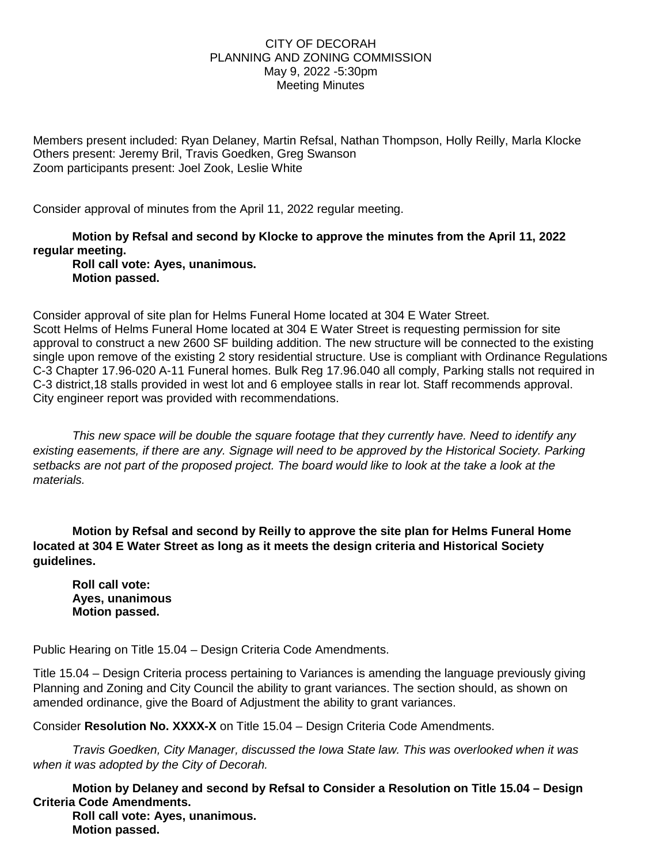## CITY OF DECORAH PLANNING AND ZONING COMMISSION May 9, 2022 -5:30pm Meeting Minutes

Members present included: Ryan Delaney, Martin Refsal, Nathan Thompson, Holly Reilly, Marla Klocke Others present: Jeremy Bril, Travis Goedken, Greg Swanson Zoom participants present: Joel Zook, Leslie White

Consider approval of minutes from the April 11, 2022 regular meeting.

**Motion by Refsal and second by Klocke to approve the minutes from the April 11, 2022 regular meeting.**

**Roll call vote: Ayes, unanimous. Motion passed.**

Consider approval of site plan for Helms Funeral Home located at 304 E Water Street. Scott Helms of Helms Funeral Home located at 304 E Water Street is requesting permission for site approval to construct a new 2600 SF building addition. The new structure will be connected to the existing single upon remove of the existing 2 story residential structure. Use is compliant with Ordinance Regulations C-3 Chapter 17.96-020 A-11 Funeral homes. Bulk Reg 17.96.040 all comply, Parking stalls not required in C-3 district,18 stalls provided in west lot and 6 employee stalls in rear lot. Staff recommends approval. City engineer report was provided with recommendations.

*This new space will be double the square footage that they currently have. Need to identify any existing easements, if there are any. Signage will need to be approved by the Historical Society. Parking setbacks are not part of the proposed project. The board would like to look at the take a look at the materials.* 

**Motion by Refsal and second by Reilly to approve the site plan for Helms Funeral Home located at 304 E Water Street as long as it meets the design criteria and Historical Society guidelines.** 

**Roll call vote: Ayes, unanimous Motion passed.**

Public Hearing on Title 15.04 – Design Criteria Code Amendments.

Title 15.04 – Design Criteria process pertaining to Variances is amending the language previously giving Planning and Zoning and City Council the ability to grant variances. The section should, as shown on amended ordinance, give the Board of Adjustment the ability to grant variances.

Consider **Resolution No. XXXX-X** on Title 15.04 – Design Criteria Code Amendments.

*Travis Goedken, City Manager, discussed the Iowa State law. This was overlooked when it was when it was adopted by the City of Decorah.* 

**Motion by Delaney and second by Refsal to Consider a Resolution on Title 15.04 – Design Criteria Code Amendments.** 

**Roll call vote: Ayes, unanimous. Motion passed.**